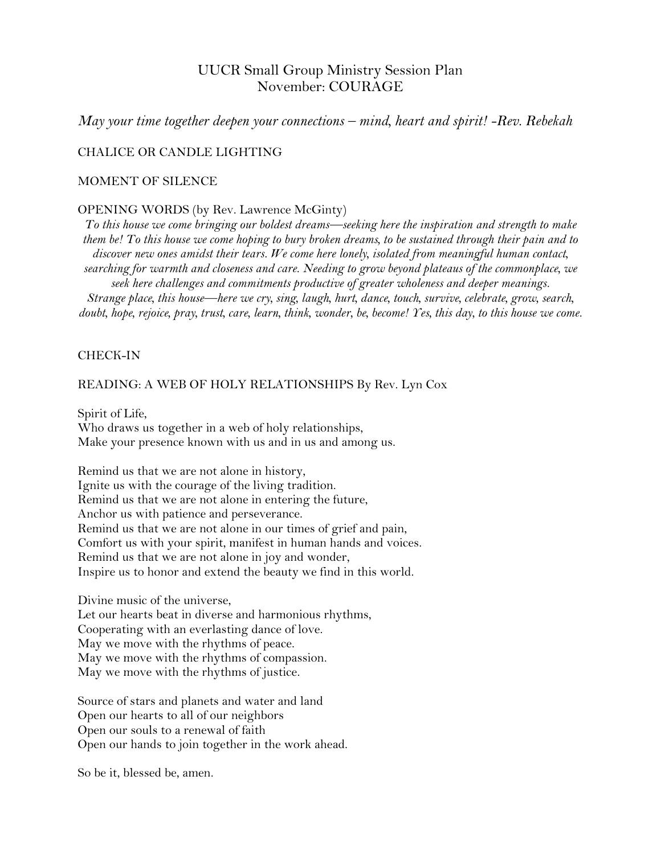# UUCR Small Group Ministry Session Plan November: COURAGE

*May your time together deepen your connections – mind, heart and spirit! -Rev. Rebekah*

## CHALICE OR CANDLE LIGHTING

## MOMENT OF SILENCE

#### OPENING WORDS (by Rev. Lawrence McGinty)

*To this house we come bringing our boldest dreams—seeking here the inspiration and strength to make them be! To this house we come hoping to bury broken dreams, to be sustained through their pain and to discover new ones amidst their tears. We come here lonely, isolated from meaningful human contact, searching for warmth and closeness and care. Needing to grow beyond plateaus of the commonplace, we seek here challenges and commitments productive of greater wholeness and deeper meanings. Strange place, this house—here we cry, sing, laugh, hurt, dance, touch, survive, celebrate, grow, search, doubt, hope, rejoice, pray, trust, care, learn, think, wonder, be, become! Yes, this day, to this house we come.*

#### CHECK-IN

#### READING: A WEB OF HOLY RELATIONSHIPS By Rev. [Lyn Cox](https://www.uua.org/offices/people/lyn-cox)

Spirit of Life, Who draws us together in a web of holy relationships, Make your presence known with us and in us and among us.

Remind us that we are not alone in history, Ignite us with the courage of the living tradition. Remind us that we are not alone in entering the future, Anchor us with patience and perseverance. Remind us that we are not alone in our times of grief and pain, Comfort us with your spirit, manifest in human hands and voices. Remind us that we are not alone in joy and wonder, Inspire us to honor and extend the beauty we find in this world.

Divine music of the universe, Let our hearts beat in diverse and harmonious rhythms, Cooperating with an everlasting dance of love. May we move with the rhythms of peace. May we move with the rhythms of compassion.

May we move with the rhythms of justice.

Source of stars and planets and water and land Open our hearts to all of our neighbors Open our souls to a renewal of faith Open our hands to join together in the work ahead.

So be it, blessed be, amen.